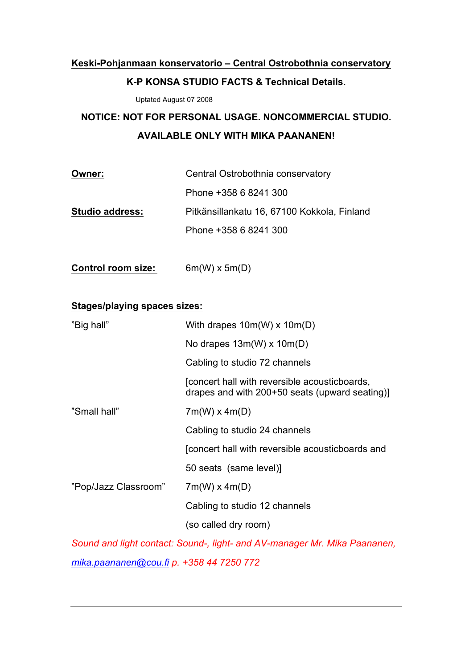# **Keski-Pohjanmaan konservatorio – Central Ostrobothnia conservatory K-P KONSA STUDIO FACTS & Technical Details.**

Uptated August 07 2008

# **NOTICE: NOT FOR PERSONAL USAGE. NONCOMMERCIAL STUDIO. AVAILABLE ONLY WITH MIKA PAANANEN!**

| Owner:                 | Central Ostrobothnia conservatory           |
|------------------------|---------------------------------------------|
|                        | Phone +358 6 8241 300                       |
| <b>Studio address:</b> | Pitkänsillankatu 16, 67100 Kokkola, Finland |
|                        | Phone +358 6 8241 300                       |

**Control room size:** 6m(W) x 5m(D)

## **Stages/playing spaces sizes:**

| "Big hall"           | With drapes $10m(W)$ x $10m(D)$                                                                 |
|----------------------|-------------------------------------------------------------------------------------------------|
|                      | No drapes $13m(W)$ x $10m(D)$                                                                   |
|                      | Cabling to studio 72 channels                                                                   |
|                      | (concert hall with reversible acousticboards,<br>drapes and with 200+50 seats (upward seating)] |
| "Small hall"         | $7m(W)$ x 4m(D)                                                                                 |
|                      | Cabling to studio 24 channels                                                                   |
|                      | [concert hall with reversible acousticboards and                                                |
|                      | 50 seats (same level)]                                                                          |
| "Pop/Jazz Classroom" | $7m(W)$ x 4m(D)                                                                                 |
|                      | Cabling to studio 12 channels                                                                   |
|                      | (so called dry room)                                                                            |
|                      |                                                                                                 |

*Sound and light contact: Sound-, light- and AV-manager Mr. Mika Paananen, mika.paananen@cou.fi p. +358 44 7250 772*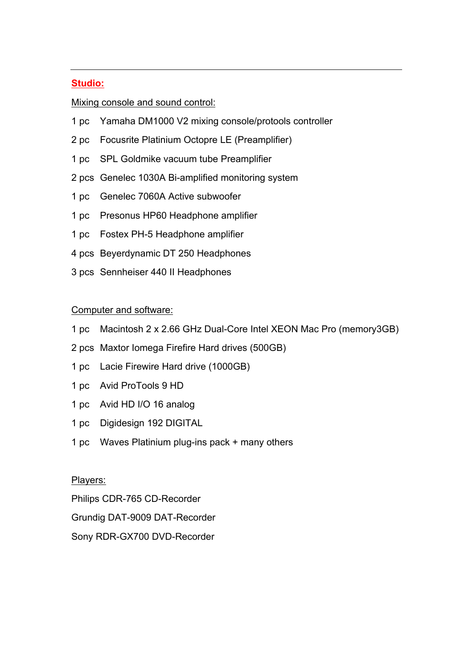### **Studio:**

### Mixing console and sound control:

- 1 pc Yamaha DM1000 V2 mixing console/protools controller
- 2 pc Focusrite Platinium Octopre LE (Preamplifier)
- 1 pc SPL Goldmike vacuum tube Preamplifier
- 2 pcs Genelec 1030A Bi-amplified monitoring system
- 1 pc Genelec 7060A Active subwoofer
- 1 pc Presonus HP60 Headphone amplifier
- 1 pc Fostex PH-5 Headphone amplifier
- 4 pcs Beyerdynamic DT 250 Headphones
- 3 pcs Sennheiser 440 II Headphones

#### Computer and software:

- 1 pc Macintosh 2 x 2.66 GHz Dual-Core Intel XEON Mac Pro (memory3GB)
- 2 pcs Maxtor Iomega Firefire Hard drives (500GB)
- 1 pc Lacie Firewire Hard drive (1000GB)
- 1 pc Avid ProTools 9 HD
- 1 pc Avid HD I/O 16 analog
- 1 pc Digidesign 192 DIGITAL
- 1 pc Waves Platinium plug-ins pack + many others

#### Players:

Philips CDR-765 CD-Recorder

Grundig DAT-9009 DAT-Recorder

Sony RDR-GX700 DVD-Recorder